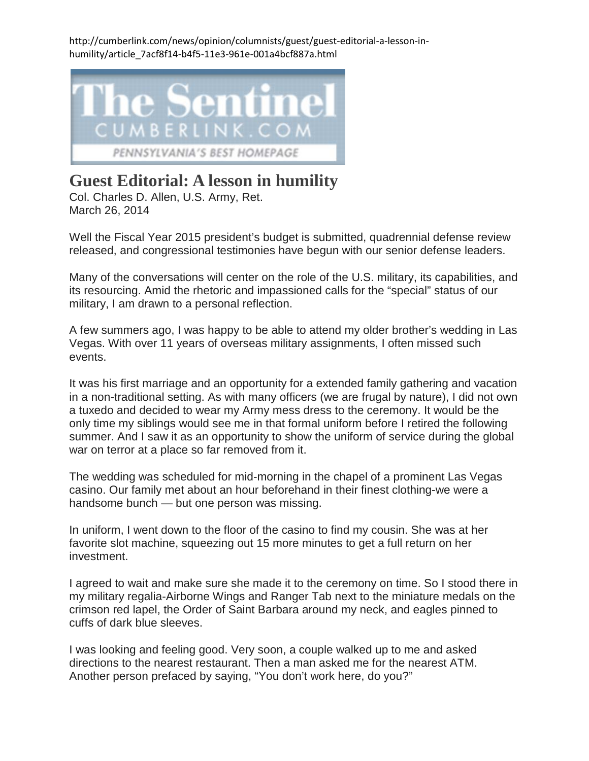http://cumberlink.com/news/opinion/columnists/guest/guest-editorial-a-lesson-inhumility/article\_7acf8f14-b4f5-11e3-961e-001a4bcf887a.html



## **Guest Editorial: A lesson in humility**

Col. Charles D. Allen, U.S. Army, Ret. March 26, 2014

Well the Fiscal Year 2015 president's budget is submitted, quadrennial defense review released, and congressional testimonies have begun with our senior defense leaders.

Many of the conversations will center on the role of the U.S. military, its capabilities, and its resourcing. Amid the rhetoric and impassioned calls for the "special" status of our military, I am drawn to a personal reflection.

A few summers ago, I was happy to be able to attend my older brother's wedding in Las Vegas. With over 11 years of overseas military assignments, I often missed such events.

It was his first marriage and an opportunity for a extended family gathering and vacation in a non-traditional setting. As with many officers (we are frugal by nature), I did not own a tuxedo and decided to wear my Army mess dress to the ceremony. It would be the only time my siblings would see me in that formal uniform before I retired the following summer. And I saw it as an opportunity to show the uniform of service during the global war on terror at a place so far removed from it.

The wedding was scheduled for mid-morning in the chapel of a prominent Las Vegas casino. Our family met about an hour beforehand in their finest clothing-we were a handsome bunch — but one person was missing.

In uniform, I went down to the floor of the casino to find my cousin. She was at her favorite slot machine, squeezing out 15 more minutes to get a full return on her investment.

I agreed to wait and make sure she made it to the ceremony on time. So I stood there in my military regalia-Airborne Wings and Ranger Tab next to the miniature medals on the crimson red lapel, the Order of Saint Barbara around my neck, and eagles pinned to cuffs of dark blue sleeves.

I was looking and feeling good. Very soon, a couple walked up to me and asked directions to the nearest restaurant. Then a man asked me for the nearest ATM. Another person prefaced by saying, "You don't work here, do you?"